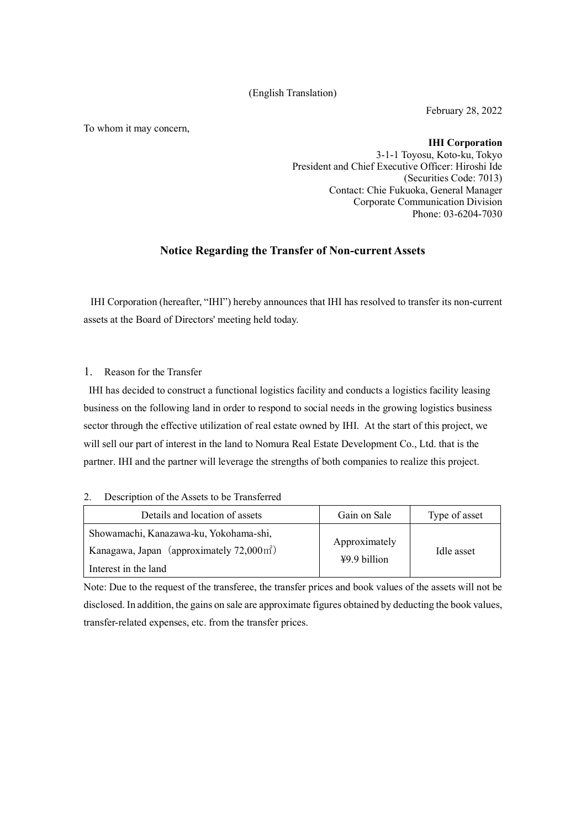#### (English Translation)

February 28, 2022

To whom it may concern,

**IHI Corporation**

3-1-1 Toyosu, Koto-ku, Tokyo President and Chief Executive Officer: Hiroshi Ide (Securities Code: 7013) Contact: Chie Fukuoka, General Manager Corporate Communication Division Phone: 03-6204-7030

# **Notice Regarding the Transfer of Non-current Assets**

IHI Corporation (hereafter, "IHI") hereby announces that IHI has resolved to transfer its non-current assets at the Board of Directors' meeting held today.

1. Reason for the Transfer

IHI has decided to construct a functional logistics facility and conducts a logistics facility leasing business on the following land in order to respond to social needs in the growing logistics business sector through the effective utilization of real estate owned by IHI. At the start of this project, we will sell our part of interest in the land to Nomura Real Estate Development Co., Ltd. that is the partner. IHI and the partner will leverage the strengths of both companies to realize this project.

#### 2. Description of the Assets to be Transferred

| Details and location of assets                        | Gain on Sale   | Type of asset |
|-------------------------------------------------------|----------------|---------------|
| Showamachi, Kanazawa-ku, Yokohama-shi,                | Approximately  | Idle asset    |
| Kanagawa, Japan (approximately $72,000 \text{ m}^2$ ) |                |               |
| Interest in the land                                  | $49.9$ billion |               |

Note: Due to the request of the transferee, the transfer prices and book values of the assets will not be disclosed. In addition, the gains on sale are approximate figures obtained by deducting the book values, transfer-related expenses, etc. from the transfer prices.